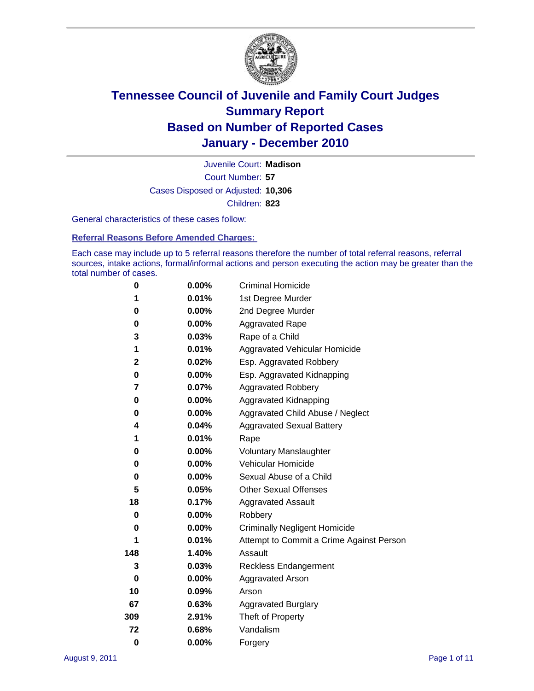

Court Number: **57** Juvenile Court: **Madison** Cases Disposed or Adjusted: **10,306** Children: **823**

General characteristics of these cases follow:

**Referral Reasons Before Amended Charges:** 

Each case may include up to 5 referral reasons therefore the number of total referral reasons, referral sources, intake actions, formal/informal actions and person executing the action may be greater than the total number of cases.

| 0        | $0.00\%$ | <b>Criminal Homicide</b>                 |
|----------|----------|------------------------------------------|
| 1        | 0.01%    | 1st Degree Murder                        |
| 0        | $0.00\%$ | 2nd Degree Murder                        |
| 0        | $0.00\%$ | <b>Aggravated Rape</b>                   |
| 3        | 0.03%    | Rape of a Child                          |
| 1        | 0.01%    | Aggravated Vehicular Homicide            |
| 2        | 0.02%    | Esp. Aggravated Robbery                  |
| 0        | $0.00\%$ | Esp. Aggravated Kidnapping               |
| 7        | 0.07%    | <b>Aggravated Robbery</b>                |
| 0        | $0.00\%$ | Aggravated Kidnapping                    |
| 0        | 0.00%    | Aggravated Child Abuse / Neglect         |
| 4        | 0.04%    | <b>Aggravated Sexual Battery</b>         |
| 1        | 0.01%    | Rape                                     |
| 0        | $0.00\%$ | <b>Voluntary Manslaughter</b>            |
| 0        | 0.00%    | Vehicular Homicide                       |
| 0        | 0.00%    | Sexual Abuse of a Child                  |
| 5        | 0.05%    | <b>Other Sexual Offenses</b>             |
| 18       | 0.17%    | <b>Aggravated Assault</b>                |
| 0        | $0.00\%$ | Robbery                                  |
| 0        | 0.00%    | <b>Criminally Negligent Homicide</b>     |
| 1        | 0.01%    | Attempt to Commit a Crime Against Person |
| 148      | 1.40%    | Assault                                  |
| 3        | 0.03%    | <b>Reckless Endangerment</b>             |
| 0        | 0.00%    | <b>Aggravated Arson</b>                  |
| 10       | 0.09%    | Arson                                    |
| 67       | 0.63%    | <b>Aggravated Burglary</b>               |
| 309      | 2.91%    | Theft of Property                        |
| 72       | 0.68%    | Vandalism                                |
| $\bf{0}$ | 0.00%    | Forgery                                  |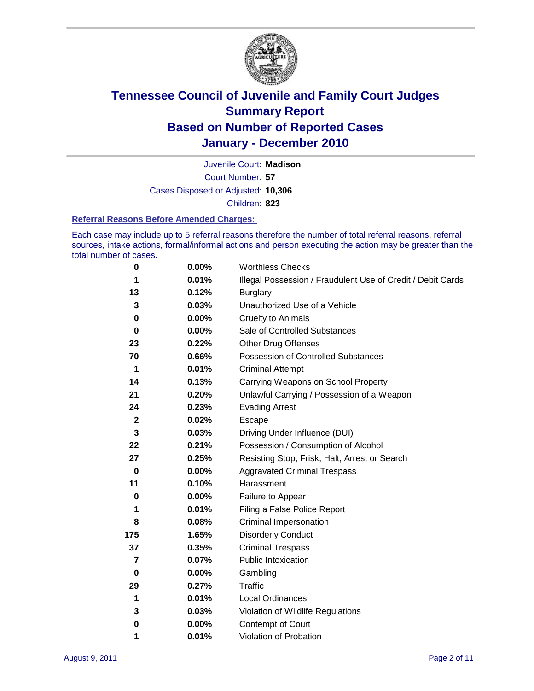

Court Number: **57** Juvenile Court: **Madison** Cases Disposed or Adjusted: **10,306** Children: **823**

#### **Referral Reasons Before Amended Charges:**

Each case may include up to 5 referral reasons therefore the number of total referral reasons, referral sources, intake actions, formal/informal actions and person executing the action may be greater than the total number of cases.

| 0              | 0.00%    | <b>Worthless Checks</b>                                     |
|----------------|----------|-------------------------------------------------------------|
| 1              | 0.01%    | Illegal Possession / Fraudulent Use of Credit / Debit Cards |
| 13             | 0.12%    | <b>Burglary</b>                                             |
| 3              | 0.03%    | Unauthorized Use of a Vehicle                               |
| 0              | $0.00\%$ | <b>Cruelty to Animals</b>                                   |
| $\bf{0}$       | $0.00\%$ | Sale of Controlled Substances                               |
| 23             | 0.22%    | <b>Other Drug Offenses</b>                                  |
| 70             | 0.66%    | Possession of Controlled Substances                         |
| 1              | 0.01%    | <b>Criminal Attempt</b>                                     |
| 14             | 0.13%    | Carrying Weapons on School Property                         |
| 21             | 0.20%    | Unlawful Carrying / Possession of a Weapon                  |
| 24             | 0.23%    | <b>Evading Arrest</b>                                       |
| $\mathbf{2}$   | 0.02%    | Escape                                                      |
| 3              | 0.03%    | Driving Under Influence (DUI)                               |
| 22             | 0.21%    | Possession / Consumption of Alcohol                         |
| 27             | 0.25%    | Resisting Stop, Frisk, Halt, Arrest or Search               |
| $\mathbf 0$    | $0.00\%$ | <b>Aggravated Criminal Trespass</b>                         |
| 11             | 0.10%    | Harassment                                                  |
| $\bf{0}$       | 0.00%    | Failure to Appear                                           |
| 1              | 0.01%    | Filing a False Police Report                                |
| 8              | 0.08%    | Criminal Impersonation                                      |
| 175            | 1.65%    | <b>Disorderly Conduct</b>                                   |
| 37             | 0.35%    | <b>Criminal Trespass</b>                                    |
| $\overline{7}$ | 0.07%    | <b>Public Intoxication</b>                                  |
| 0              | $0.00\%$ | Gambling                                                    |
| 29             | 0.27%    | <b>Traffic</b>                                              |
| 1              | 0.01%    | <b>Local Ordinances</b>                                     |
| 3              | 0.03%    | Violation of Wildlife Regulations                           |
| 0              | $0.00\%$ | Contempt of Court                                           |
| 1              | 0.01%    | Violation of Probation                                      |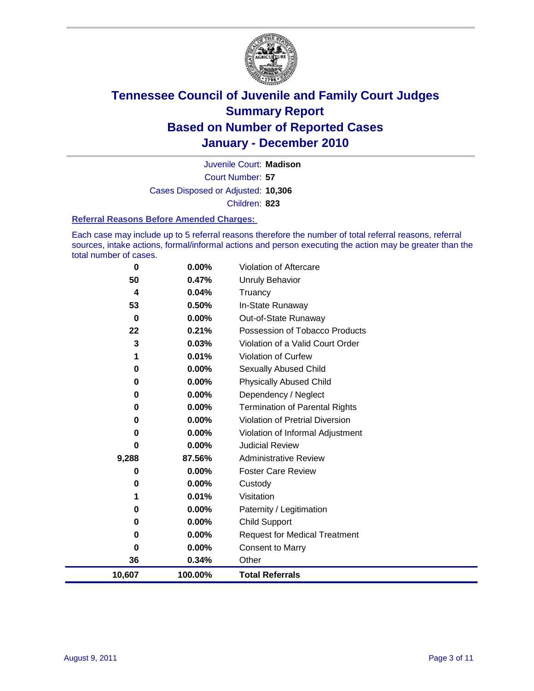

Court Number: **57** Juvenile Court: **Madison** Cases Disposed or Adjusted: **10,306** Children: **823**

#### **Referral Reasons Before Amended Charges:**

Each case may include up to 5 referral reasons therefore the number of total referral reasons, referral sources, intake actions, formal/informal actions and person executing the action may be greater than the total number of cases.

| 0      | 0.00%    | Violation of Aftercare                 |
|--------|----------|----------------------------------------|
| 50     | 0.47%    | <b>Unruly Behavior</b>                 |
| 4      | 0.04%    | Truancy                                |
| 53     | 0.50%    | In-State Runaway                       |
| 0      | $0.00\%$ | Out-of-State Runaway                   |
| 22     | 0.21%    | Possession of Tobacco Products         |
| 3      | 0.03%    | Violation of a Valid Court Order       |
| 1      | 0.01%    | <b>Violation of Curfew</b>             |
| 0      | 0.00%    | <b>Sexually Abused Child</b>           |
| 0      | 0.00%    | <b>Physically Abused Child</b>         |
| 0      | 0.00%    | Dependency / Neglect                   |
| 0      | 0.00%    | <b>Termination of Parental Rights</b>  |
| 0      | 0.00%    | <b>Violation of Pretrial Diversion</b> |
| 0      | 0.00%    | Violation of Informal Adjustment       |
| 0      | 0.00%    | <b>Judicial Review</b>                 |
| 9,288  | 87.56%   | <b>Administrative Review</b>           |
| 0      | 0.00%    | <b>Foster Care Review</b>              |
| 0      | 0.00%    | Custody                                |
| 1      | 0.01%    | Visitation                             |
| 0      | 0.00%    | Paternity / Legitimation               |
| 0      | 0.00%    | <b>Child Support</b>                   |
| 0      | 0.00%    | <b>Request for Medical Treatment</b>   |
| 0      | 0.00%    | <b>Consent to Marry</b>                |
| 36     | 0.34%    | Other                                  |
| 10,607 | 100.00%  | <b>Total Referrals</b>                 |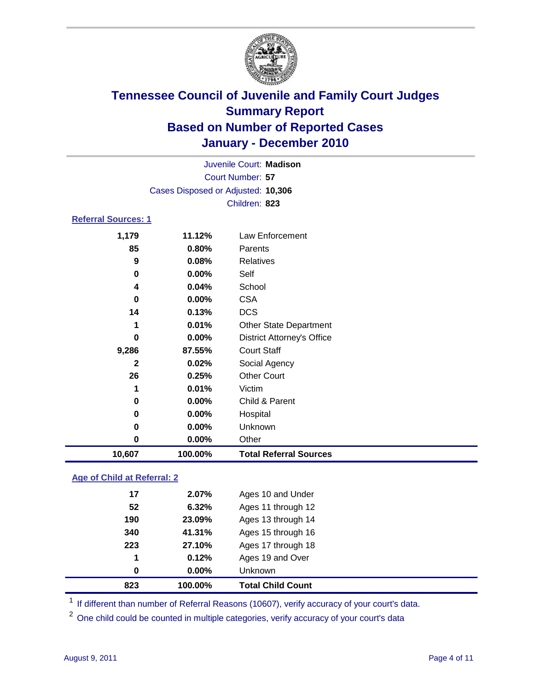

| 10,607                     | 100.00%                            | <b>Total Referral Sources</b>     |  |  |  |
|----------------------------|------------------------------------|-----------------------------------|--|--|--|
| 0                          | $0.00\%$                           | Other                             |  |  |  |
| 0                          | $0.00\%$                           | Unknown                           |  |  |  |
| 0                          | $0.00\%$                           | Hospital                          |  |  |  |
| 0                          | 0.00%                              | Child & Parent                    |  |  |  |
| 1                          | 0.01%                              | Victim                            |  |  |  |
| 26                         | 0.25%                              | <b>Other Court</b>                |  |  |  |
| $\mathbf{2}$               | 0.02%                              | Social Agency                     |  |  |  |
| 9,286                      | 87.55%                             | <b>Court Staff</b>                |  |  |  |
| 0                          | $0.00\%$                           | <b>District Attorney's Office</b> |  |  |  |
| 1                          | 0.01%                              | <b>Other State Department</b>     |  |  |  |
| 14                         | 0.13%                              | <b>DCS</b>                        |  |  |  |
| 0                          | 0.00%                              | <b>CSA</b>                        |  |  |  |
| 4                          | 0.04%                              | School                            |  |  |  |
| 0                          | $0.00\%$                           | Self                              |  |  |  |
| 9                          | 0.08%                              | <b>Relatives</b>                  |  |  |  |
| 85                         | 0.80%                              | Parents                           |  |  |  |
| 1,179                      | 11.12%                             | <b>Law Enforcement</b>            |  |  |  |
| <b>Referral Sources: 1</b> |                                    |                                   |  |  |  |
|                            |                                    | Children: 823                     |  |  |  |
|                            | Cases Disposed or Adjusted: 10,306 |                                   |  |  |  |
| Court Number: 57           |                                    |                                   |  |  |  |
| Juvenile Court: Madison    |                                    |                                   |  |  |  |
|                            |                                    |                                   |  |  |  |

### **Age of Child at Referral: 2**

| 823 | 100.00% | <b>Total Child Count</b> |
|-----|---------|--------------------------|
| 0   | 0.00%   | <b>Unknown</b>           |
| 1   | 0.12%   | Ages 19 and Over         |
| 223 | 27.10%  | Ages 17 through 18       |
| 340 | 41.31%  | Ages 15 through 16       |
| 190 | 23.09%  | Ages 13 through 14       |
| 52  | 6.32%   | Ages 11 through 12       |
| 17  | 2.07%   | Ages 10 and Under        |
|     |         |                          |

<sup>1</sup> If different than number of Referral Reasons (10607), verify accuracy of your court's data.

<sup>2</sup> One child could be counted in multiple categories, verify accuracy of your court's data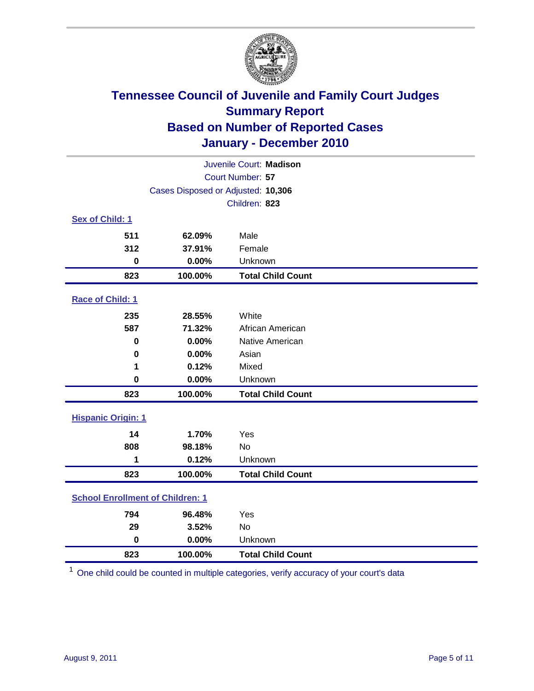

| Juvenile Court: Madison                 |                                    |                          |  |  |  |
|-----------------------------------------|------------------------------------|--------------------------|--|--|--|
| Court Number: 57                        |                                    |                          |  |  |  |
|                                         | Cases Disposed or Adjusted: 10,306 |                          |  |  |  |
|                                         |                                    | Children: 823            |  |  |  |
| Sex of Child: 1                         |                                    |                          |  |  |  |
| 511                                     | 62.09%                             | Male                     |  |  |  |
| 312                                     | 37.91%                             | Female                   |  |  |  |
| $\mathbf 0$                             | 0.00%                              | Unknown                  |  |  |  |
| 823                                     | 100.00%                            | <b>Total Child Count</b> |  |  |  |
| Race of Child: 1                        |                                    |                          |  |  |  |
| 235                                     | 28.55%                             | White                    |  |  |  |
| 587                                     | 71.32%                             | African American         |  |  |  |
| 0                                       | 0.00%                              | Native American          |  |  |  |
| $\bf{0}$                                | 0.00%                              | Asian                    |  |  |  |
| 1                                       | 0.12%                              | Mixed                    |  |  |  |
| $\mathbf 0$                             | 0.00%                              | Unknown                  |  |  |  |
| 823                                     | 100.00%                            | <b>Total Child Count</b> |  |  |  |
| <b>Hispanic Origin: 1</b>               |                                    |                          |  |  |  |
| 14                                      | 1.70%                              | Yes                      |  |  |  |
| 808                                     | 98.18%                             | <b>No</b>                |  |  |  |
| 1                                       | 0.12%                              | Unknown                  |  |  |  |
| 823                                     | 100.00%                            | <b>Total Child Count</b> |  |  |  |
| <b>School Enrollment of Children: 1</b> |                                    |                          |  |  |  |
| 794                                     | 96.48%                             | Yes                      |  |  |  |
| 29                                      | 3.52%                              | No                       |  |  |  |
| $\mathbf 0$                             | 0.00%                              | Unknown                  |  |  |  |
| 823                                     | 100.00%                            | <b>Total Child Count</b> |  |  |  |

One child could be counted in multiple categories, verify accuracy of your court's data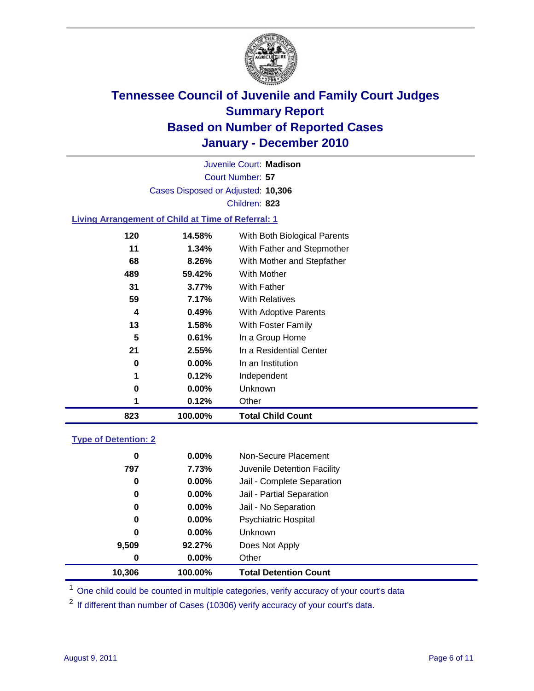

Court Number: **57** Juvenile Court: **Madison** Cases Disposed or Adjusted: **10,306** Children: **823**

### **Living Arrangement of Child at Time of Referral: 1**

| 823 | 100.00%       | <b>Total Child Count</b>     |
|-----|---------------|------------------------------|
|     | 0.12%<br>1    | Other                        |
|     | 0<br>$0.00\%$ | Unknown                      |
|     | 1<br>0.12%    | Independent                  |
|     | $0.00\%$<br>0 | In an Institution            |
|     | 21<br>2.55%   | In a Residential Center      |
|     | 5<br>0.61%    | In a Group Home              |
|     | 13<br>1.58%   | With Foster Family           |
|     | 0.49%<br>4    | With Adoptive Parents        |
|     | 59<br>7.17%   | <b>With Relatives</b>        |
|     | 31<br>3.77%   | With Father                  |
| 489 | 59.42%        | With Mother                  |
|     | 8.26%<br>68   | With Mother and Stepfather   |
|     | 11<br>1.34%   | With Father and Stepmother   |
| 120 | 14.58%        | With Both Biological Parents |
|     |               |                              |

### **Type of Detention: 2**

| 10,306           | 100.00%  | <b>Total Detention Count</b> |
|------------------|----------|------------------------------|
| $\boldsymbol{0}$ | $0.00\%$ | Other                        |
| 9,509            | 92.27%   | Does Not Apply               |
| 0                | $0.00\%$ | Unknown                      |
| 0                | 0.00%    | <b>Psychiatric Hospital</b>  |
| 0                | 0.00%    | Jail - No Separation         |
| 0                | $0.00\%$ | Jail - Partial Separation    |
| 0                | 0.00%    | Jail - Complete Separation   |
| 797              | 7.73%    | Juvenile Detention Facility  |
| 0                | $0.00\%$ | Non-Secure Placement         |
|                  |          |                              |

<sup>1</sup> One child could be counted in multiple categories, verify accuracy of your court's data

<sup>2</sup> If different than number of Cases (10306) verify accuracy of your court's data.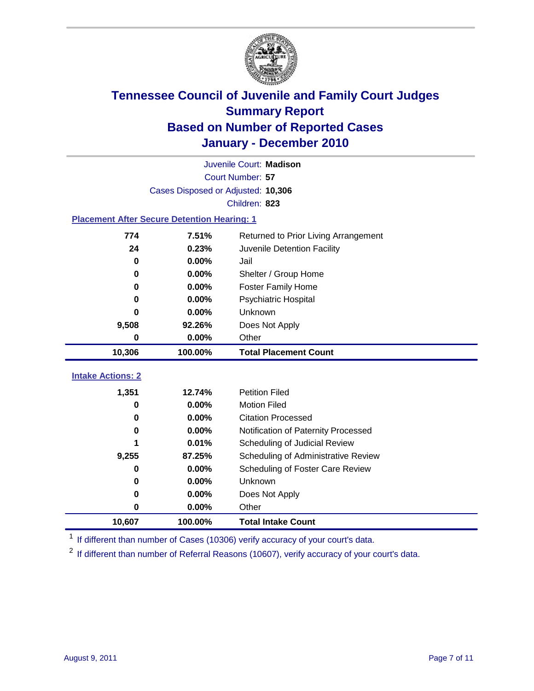

|                                                    | Juvenile Court: Madison                       |                                     |  |  |  |
|----------------------------------------------------|-----------------------------------------------|-------------------------------------|--|--|--|
|                                                    | Court Number: 57                              |                                     |  |  |  |
|                                                    | Cases Disposed or Adjusted: 10,306            |                                     |  |  |  |
|                                                    |                                               | Children: 823                       |  |  |  |
| <b>Placement After Secure Detention Hearing: 1</b> |                                               |                                     |  |  |  |
| 774                                                | 7.51%<br>Returned to Prior Living Arrangement |                                     |  |  |  |
| 24                                                 | 0.23%                                         | Juvenile Detention Facility         |  |  |  |
| $\bf{0}$                                           | 0.00%                                         | Jail                                |  |  |  |
| 0                                                  | 0.00%                                         | Shelter / Group Home                |  |  |  |
| 0                                                  | 0.00%                                         | <b>Foster Family Home</b>           |  |  |  |
| 0                                                  | 0.00%                                         | Psychiatric Hospital                |  |  |  |
| ŋ                                                  | $0.00\%$                                      | Unknown                             |  |  |  |
| 9,508                                              | 92.26%                                        | Does Not Apply                      |  |  |  |
| 0                                                  | 0.00%                                         | Other                               |  |  |  |
| 10,306                                             | 100.00%                                       | <b>Total Placement Count</b>        |  |  |  |
| <b>Intake Actions: 2</b>                           |                                               |                                     |  |  |  |
|                                                    |                                               |                                     |  |  |  |
| 1,351                                              | 12.74%                                        | <b>Petition Filed</b>               |  |  |  |
| 0                                                  | 0.00%                                         | <b>Motion Filed</b>                 |  |  |  |
| 0                                                  | 0.00%                                         | <b>Citation Processed</b>           |  |  |  |
| 0                                                  | 0.00%                                         | Notification of Paternity Processed |  |  |  |
| 1                                                  | 0.01%                                         | Scheduling of Judicial Review       |  |  |  |
| 9,255                                              | 87.25%                                        | Scheduling of Administrative Review |  |  |  |
| 0                                                  | 0.00%                                         | Scheduling of Foster Care Review    |  |  |  |
| 0                                                  | 0.00%                                         | Unknown                             |  |  |  |
| 0                                                  | 0.00%                                         | Does Not Apply                      |  |  |  |
| 0                                                  | 0.00%                                         | Other                               |  |  |  |
| 10,607                                             | 100.00%                                       | <b>Total Intake Count</b>           |  |  |  |

<sup>1</sup> If different than number of Cases (10306) verify accuracy of your court's data.

<sup>2</sup> If different than number of Referral Reasons (10607), verify accuracy of your court's data.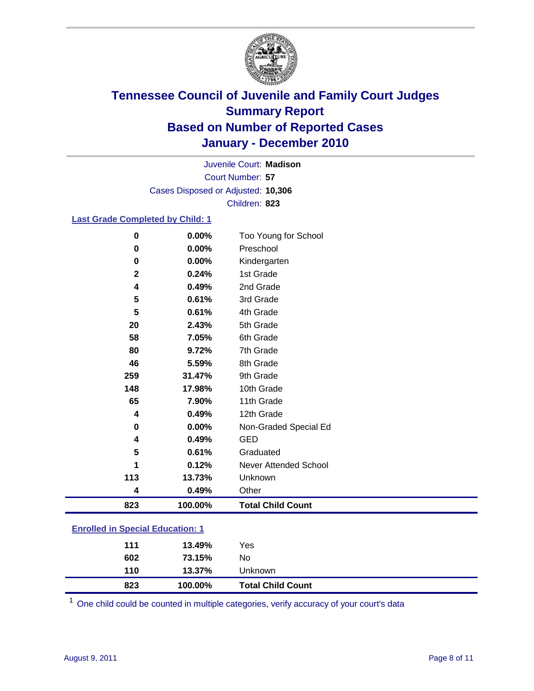

Court Number: **57** Juvenile Court: **Madison** Cases Disposed or Adjusted: **10,306** Children: **823**

### **Last Grade Completed by Child: 1**

| $\pmb{0}$                               | 0.00%   | Too Young for School     |  |
|-----------------------------------------|---------|--------------------------|--|
| 0                                       | 0.00%   | Preschool                |  |
| 0                                       | 0.00%   | Kindergarten             |  |
| $\mathbf 2$                             | 0.24%   | 1st Grade                |  |
| 4                                       | 0.49%   | 2nd Grade                |  |
| 5                                       | 0.61%   | 3rd Grade                |  |
| 5                                       | 0.61%   | 4th Grade                |  |
| 20                                      | 2.43%   | 5th Grade                |  |
| 58                                      | 7.05%   | 6th Grade                |  |
| 80                                      | 9.72%   | 7th Grade                |  |
| 46                                      | 5.59%   | 8th Grade                |  |
| 259                                     | 31.47%  | 9th Grade                |  |
| 148                                     | 17.98%  | 10th Grade               |  |
| 65                                      | 7.90%   | 11th Grade               |  |
| 4                                       | 0.49%   | 12th Grade               |  |
| 0                                       | 0.00%   | Non-Graded Special Ed    |  |
| 4                                       | 0.49%   | <b>GED</b>               |  |
| 5                                       | 0.61%   | Graduated                |  |
| 1                                       | 0.12%   | Never Attended School    |  |
| 113                                     | 13.73%  | Unknown                  |  |
| 4                                       | 0.49%   | Other                    |  |
| 823                                     | 100.00% | <b>Total Child Count</b> |  |
| <b>Enrolled in Special Education: 1</b> |         |                          |  |
|                                         |         |                          |  |
| 111                                     | 13.49%  | Yes                      |  |

| 823 | 100.00% | <b>Total Child Count</b> |
|-----|---------|--------------------------|
| 110 | 13.37%  | Unknown                  |
| 602 | 73.15%  | No                       |

One child could be counted in multiple categories, verify accuracy of your court's data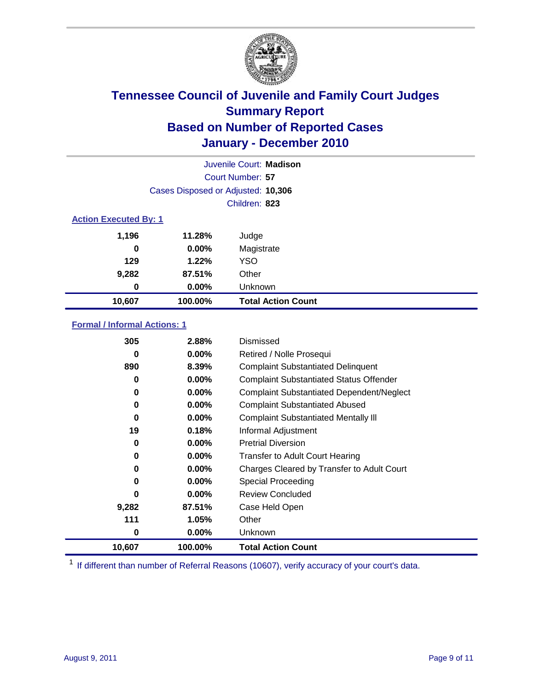

|                              | Juvenile Court: Madison            |                           |  |  |  |
|------------------------------|------------------------------------|---------------------------|--|--|--|
|                              | Court Number: 57                   |                           |  |  |  |
|                              | Cases Disposed or Adjusted: 10,306 |                           |  |  |  |
|                              | Children: 823                      |                           |  |  |  |
| <b>Action Executed By: 1</b> |                                    |                           |  |  |  |
| 1,196                        | 11.28%                             | Judge                     |  |  |  |
| 0                            | $0.00\%$                           | Magistrate                |  |  |  |
| 129                          | 1.22%                              | <b>YSO</b>                |  |  |  |
| 9,282                        | 87.51%                             | Other                     |  |  |  |
| 0                            | $0.00\%$                           | Unknown                   |  |  |  |
| 10,607                       | 100.00%                            | <b>Total Action Count</b> |  |  |  |

### **Formal / Informal Actions: 1**

| 305    | 2.88%    | Dismissed                                        |
|--------|----------|--------------------------------------------------|
| 0      | $0.00\%$ | Retired / Nolle Prosequi                         |
| 890    | 8.39%    | <b>Complaint Substantiated Delinquent</b>        |
| 0      | $0.00\%$ | <b>Complaint Substantiated Status Offender</b>   |
| 0      | $0.00\%$ | <b>Complaint Substantiated Dependent/Neglect</b> |
| 0      | $0.00\%$ | <b>Complaint Substantiated Abused</b>            |
| 0      | $0.00\%$ | <b>Complaint Substantiated Mentally III</b>      |
| 19     | 0.18%    | Informal Adjustment                              |
| 0      | $0.00\%$ | <b>Pretrial Diversion</b>                        |
| 0      | $0.00\%$ | <b>Transfer to Adult Court Hearing</b>           |
| 0      | $0.00\%$ | Charges Cleared by Transfer to Adult Court       |
| 0      | $0.00\%$ | Special Proceeding                               |
| O      | $0.00\%$ | <b>Review Concluded</b>                          |
| 9,282  | 87.51%   | Case Held Open                                   |
| 111    | 1.05%    | Other                                            |
| 0      | $0.00\%$ | <b>Unknown</b>                                   |
| 10,607 | 100.00%  | <b>Total Action Count</b>                        |

<sup>1</sup> If different than number of Referral Reasons (10607), verify accuracy of your court's data.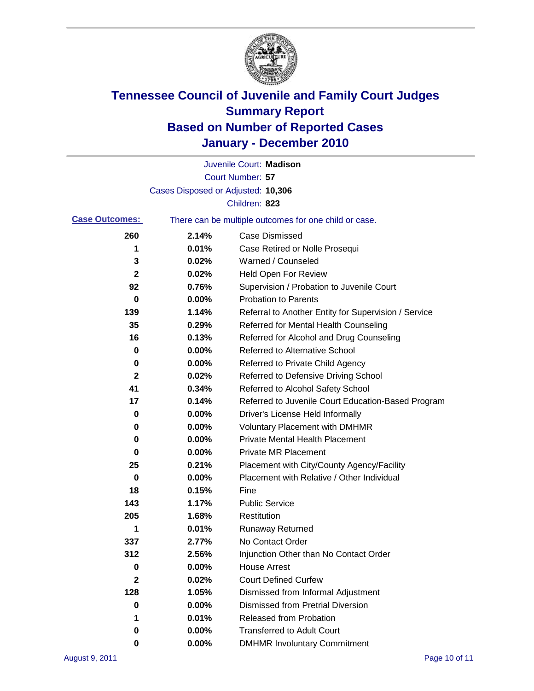

|                       |                                    | Juvenile Court: Madison                               |
|-----------------------|------------------------------------|-------------------------------------------------------|
|                       |                                    | Court Number: 57                                      |
|                       | Cases Disposed or Adjusted: 10,306 |                                                       |
|                       |                                    | Children: 823                                         |
| <b>Case Outcomes:</b> |                                    | There can be multiple outcomes for one child or case. |
| 260                   | 2.14%                              | <b>Case Dismissed</b>                                 |
| 1                     | 0.01%                              | Case Retired or Nolle Prosequi                        |
| 3                     | 0.02%                              | Warned / Counseled                                    |
| $\mathbf 2$           | 0.02%                              | <b>Held Open For Review</b>                           |
| 92                    | 0.76%                              | Supervision / Probation to Juvenile Court             |
| 0                     | 0.00%                              | <b>Probation to Parents</b>                           |
| 139                   | 1.14%                              | Referral to Another Entity for Supervision / Service  |
| 35                    | 0.29%                              | Referred for Mental Health Counseling                 |
| 16                    | 0.13%                              | Referred for Alcohol and Drug Counseling              |
| 0                     | 0.00%                              | <b>Referred to Alternative School</b>                 |
| 0                     | 0.00%                              | Referred to Private Child Agency                      |
| 2                     | 0.02%                              | Referred to Defensive Driving School                  |
| 41                    | 0.34%                              | Referred to Alcohol Safety School                     |
| 17                    | 0.14%                              | Referred to Juvenile Court Education-Based Program    |
| 0                     | 0.00%                              | Driver's License Held Informally                      |
| 0                     | 0.00%                              | <b>Voluntary Placement with DMHMR</b>                 |
| 0                     | 0.00%                              | <b>Private Mental Health Placement</b>                |
| 0                     | 0.00%                              | <b>Private MR Placement</b>                           |
| 25                    | 0.21%                              | Placement with City/County Agency/Facility            |
| 0                     | 0.00%                              | Placement with Relative / Other Individual            |
| 18                    | 0.15%                              | Fine                                                  |
| 143                   | 1.17%                              | <b>Public Service</b>                                 |
| 205                   | 1.68%                              | Restitution                                           |
| 1                     | 0.01%                              | <b>Runaway Returned</b>                               |
| 337                   | 2.77%                              | No Contact Order                                      |
| 312                   | 2.56%                              | Injunction Other than No Contact Order                |
| 0                     | 0.00%                              | <b>House Arrest</b>                                   |
| 2                     | 0.02%                              | <b>Court Defined Curfew</b>                           |
| 128                   | 1.05%                              | Dismissed from Informal Adjustment                    |
| 0                     | 0.00%                              | <b>Dismissed from Pretrial Diversion</b>              |
| 1                     | 0.01%                              | <b>Released from Probation</b>                        |
| 0                     | 0.00%                              | <b>Transferred to Adult Court</b>                     |
| 0                     | $0.00\%$                           | <b>DMHMR Involuntary Commitment</b>                   |